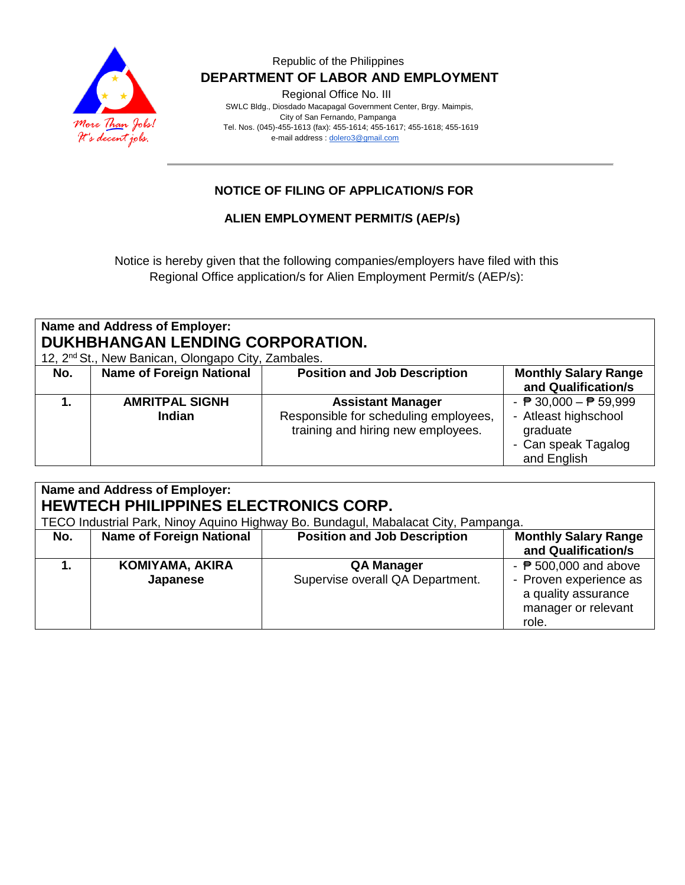

Regional Office No. III

 SWLC Bldg., Diosdado Macapagal Government Center, Brgy. Maimpis, City of San Fernando, Pampanga Tel. Nos. (045)-455-1613 (fax): 455-1614; 455-1617; 455-1618; 455-1619 e-mail address [: dolero3@gmail.com](mailto:dolero3@gmail.com)

## **NOTICE OF FILING OF APPLICATION/S FOR**

## **ALIEN EMPLOYMENT PERMIT/S (AEP/s)**

Notice is hereby given that the following companies/employers have filed with this Regional Office application/s for Alien Employment Permit/s (AEP/s):

# **Name and Address of Employer: DUKHBHANGAN LENDING CORPORATION.**

12, 2nd St., New Banican, Olongapo City, Zambales.

| $12, 2$ Ot., New Darlicari, Oldrigapo Olty, Zarribales. |                                 |                                                                                                         |                                                                                                                           |  |
|---------------------------------------------------------|---------------------------------|---------------------------------------------------------------------------------------------------------|---------------------------------------------------------------------------------------------------------------------------|--|
| No.                                                     | <b>Name of Foreign National</b> | <b>Position and Job Description</b>                                                                     | <b>Monthly Salary Range</b><br>and Qualification/s                                                                        |  |
|                                                         | <b>AMRITPAL SIGNH</b><br>Indian | <b>Assistant Manager</b><br>Responsible for scheduling employees,<br>training and hiring new employees. | - $\overline{P}$ 30,000 - $\overline{P}$ 59,999<br>- Atleast highschool<br>graduate<br>- Can speak Tagalog<br>and English |  |

| <b>Name and Address of Employer:</b><br>HEWTECH PHILIPPINES ELECTRONICS CORP.<br>TECO Industrial Park, Ninoy Aquino Highway Bo. Bundagul, Mabalacat City, Pampanga. |                                 |                                                       |                                                                                                                     |
|---------------------------------------------------------------------------------------------------------------------------------------------------------------------|---------------------------------|-------------------------------------------------------|---------------------------------------------------------------------------------------------------------------------|
| No.                                                                                                                                                                 | <b>Name of Foreign National</b> | <b>Position and Job Description</b>                   | <b>Monthly Salary Range</b><br>and Qualification/s                                                                  |
|                                                                                                                                                                     | KOMIYAMA, AKIRA<br>Japanese     | <b>QA Manager</b><br>Supervise overall QA Department. | - $\overline{P}$ 500,000 and above<br>- Proven experience as<br>a quality assurance<br>manager or relevant<br>role. |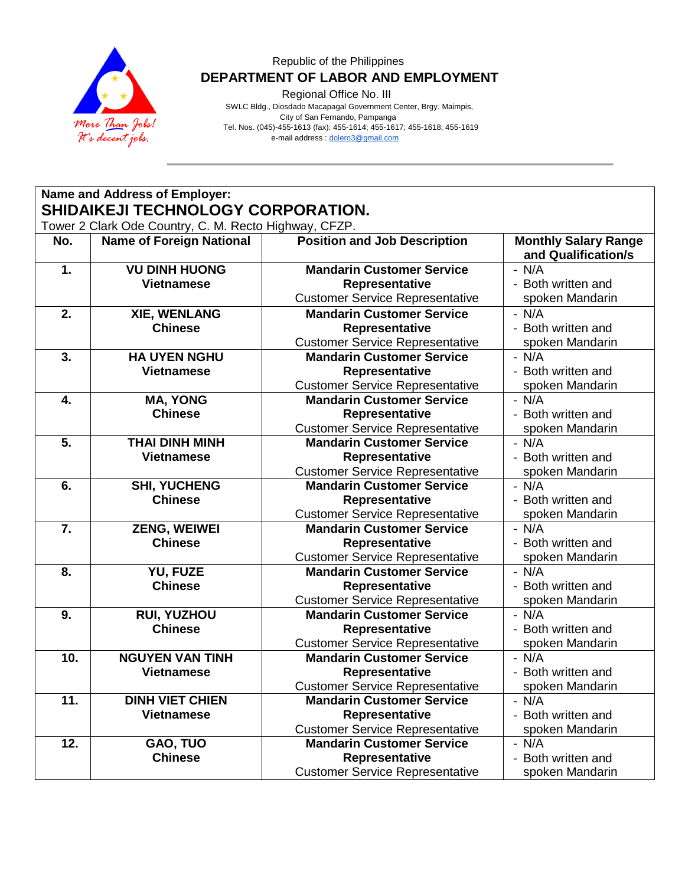

Regional Office No. III

 SWLC Bldg., Diosdado Macapagal Government Center, Brgy. Maimpis, City of San Fernando, Pampanga Tel. Nos. (045)-455-1613 (fax): 455-1614; 455-1617; 455-1618; 455-1619 e-mail address [: dolero3@gmail.com](mailto:dolero3@gmail.com)

**Name and Address of Employer: SHIDAIKEJI TECHNOLOGY CORPORATION.** Tower 2 Clark Ode Country, C. M. Recto Highway, CFZP.

| No.              | TOWER 2 GRIN OUE COUNTRY, O. M. INECTO I IIGHWAY, OF 21.<br><b>Name of Foreign National</b> | <b>Position and Job Description</b>    | <b>Monthly Salary Range</b>    |
|------------------|---------------------------------------------------------------------------------------------|----------------------------------------|--------------------------------|
| 1.               | <b>VU DINH HUONG</b>                                                                        | <b>Mandarin Customer Service</b>       | and Qualification/s<br>$- N/A$ |
|                  |                                                                                             |                                        | - Both written and             |
|                  | <b>Vietnamese</b>                                                                           | Representative                         |                                |
|                  |                                                                                             | <b>Customer Service Representative</b> | spoken Mandarin                |
| $\overline{2}$ . | <b>XIE, WENLANG</b>                                                                         | <b>Mandarin Customer Service</b>       | $- N/A$                        |
|                  | <b>Chinese</b>                                                                              | Representative                         | - Both written and             |
|                  |                                                                                             | <b>Customer Service Representative</b> | spoken Mandarin                |
| 3.               | <b>HA UYEN NGHU</b>                                                                         | <b>Mandarin Customer Service</b>       | $- N/A$                        |
|                  | <b>Vietnamese</b>                                                                           | Representative                         | - Both written and             |
|                  |                                                                                             | <b>Customer Service Representative</b> | spoken Mandarin                |
| 4.               | <b>MA, YONG</b>                                                                             | <b>Mandarin Customer Service</b>       | $- N/A$                        |
|                  | <b>Chinese</b>                                                                              | Representative                         | - Both written and             |
|                  |                                                                                             | <b>Customer Service Representative</b> | spoken Mandarin                |
| $\overline{5}$ . | <b>THAI DINH MINH</b>                                                                       | <b>Mandarin Customer Service</b>       | $- N/A$                        |
|                  | <b>Vietnamese</b>                                                                           | Representative                         | - Both written and             |
|                  |                                                                                             | <b>Customer Service Representative</b> | spoken Mandarin                |
| 6.               | <b>SHI, YUCHENG</b>                                                                         | <b>Mandarin Customer Service</b>       | $- N/A$                        |
|                  | <b>Chinese</b>                                                                              | Representative                         | - Both written and             |
|                  |                                                                                             | <b>Customer Service Representative</b> | spoken Mandarin                |
| 7.               | <b>ZENG, WEIWEI</b>                                                                         | <b>Mandarin Customer Service</b>       | $- N/A$                        |
|                  | <b>Chinese</b>                                                                              | Representative                         | - Both written and             |
|                  |                                                                                             | <b>Customer Service Representative</b> | spoken Mandarin                |
| 8.               | YU, FUZE                                                                                    | <b>Mandarin Customer Service</b>       | $- N/A$                        |
|                  | <b>Chinese</b>                                                                              | Representative                         | - Both written and             |
|                  |                                                                                             | <b>Customer Service Representative</b> | spoken Mandarin                |
| 9.               | <b>RUI, YUZHOU</b>                                                                          | <b>Mandarin Customer Service</b>       | $- N/A$                        |
|                  | <b>Chinese</b>                                                                              | Representative                         | - Both written and             |
|                  |                                                                                             | <b>Customer Service Representative</b> | spoken Mandarin                |
| 10.              | <b>NGUYEN VAN TINH</b>                                                                      | <b>Mandarin Customer Service</b>       | $- N/A$                        |
|                  | <b>Vietnamese</b>                                                                           | Representative                         | - Both written and             |
|                  |                                                                                             | <b>Customer Service Representative</b> | spoken Mandarin                |
| 11.              | <b>DINH VIET CHIEN</b>                                                                      | <b>Mandarin Customer Service</b>       | $- N/A$                        |
|                  | <b>Vietnamese</b>                                                                           | Representative                         | - Both written and             |
|                  |                                                                                             | <b>Customer Service Representative</b> | spoken Mandarin                |
| 12.              | GAO, TUO                                                                                    | <b>Mandarin Customer Service</b>       | $- N/A$                        |
|                  | <b>Chinese</b>                                                                              | Representative                         | - Both written and             |
|                  |                                                                                             | <b>Customer Service Representative</b> | spoken Mandarin                |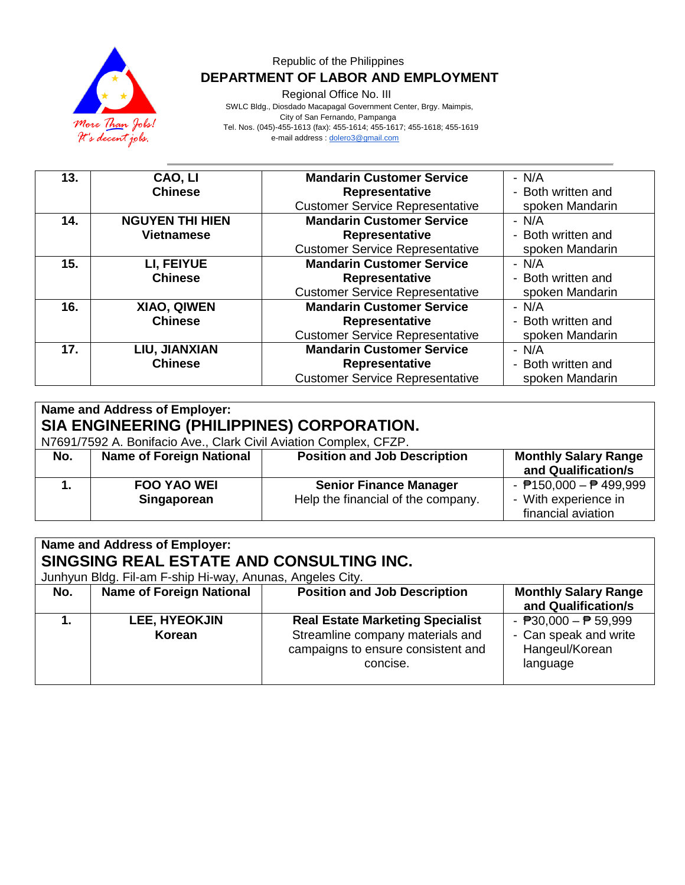

Regional Office No. III

 SWLC Bldg., Diosdado Macapagal Government Center, Brgy. Maimpis, City of San Fernando, Pampanga Tel. Nos. (045)-455-1613 (fax): 455-1614; 455-1617; 455-1618; 455-1619 e-mail address [: dolero3@gmail.com](mailto:dolero3@gmail.com)

| 13. | CAO, LI                | <b>Mandarin Customer Service</b>       | $- N/A$            |
|-----|------------------------|----------------------------------------|--------------------|
|     | <b>Chinese</b>         | <b>Representative</b>                  | - Both written and |
|     |                        | <b>Customer Service Representative</b> | spoken Mandarin    |
| 14. | <b>NGUYEN THI HIEN</b> | <b>Mandarin Customer Service</b>       | $- N/A$            |
|     | <b>Vietnamese</b>      | <b>Representative</b>                  | - Both written and |
|     |                        | <b>Customer Service Representative</b> | spoken Mandarin    |
| 15. | LI, FEIYUE             | <b>Mandarin Customer Service</b>       | - N/A              |
|     | <b>Chinese</b>         | <b>Representative</b>                  | - Both written and |
|     |                        | <b>Customer Service Representative</b> | spoken Mandarin    |
| 16. | XIAO, QIWEN            | <b>Mandarin Customer Service</b>       | $- N/A$            |
|     | <b>Chinese</b>         | Representative                         | - Both written and |
|     |                        | <b>Customer Service Representative</b> | spoken Mandarin    |
| 17. | LIU, JIANXIAN          | <b>Mandarin Customer Service</b>       | - N/A              |
|     | <b>Chinese</b>         | Representative                         | - Both written and |
|     |                        | <b>Customer Service Representative</b> | spoken Mandarin    |

| Name and Address of Employer:<br>SIA ENGINEERING (PHILIPPINES) CORPORATION.<br>N7691/7592 A. Bonifacio Ave., Clark Civil Aviation Complex, CFZP. |                                   |                                                                     |                                                                           |
|--------------------------------------------------------------------------------------------------------------------------------------------------|-----------------------------------|---------------------------------------------------------------------|---------------------------------------------------------------------------|
| No.                                                                                                                                              | <b>Name of Foreign National</b>   | <b>Position and Job Description</b>                                 | <b>Monthly Salary Range</b><br>and Qualification/s                        |
|                                                                                                                                                  | <b>FOO YAO WEI</b><br>Singaporean | <b>Senior Finance Manager</b><br>Help the financial of the company. | - $P$ 150,000 - $P$ 499,999<br>- With experience in<br>financial aviation |

| Name and Address of Employer:                             |                                 |                                         |                             |
|-----------------------------------------------------------|---------------------------------|-----------------------------------------|-----------------------------|
| SINGSING REAL ESTATE AND CONSULTING INC.                  |                                 |                                         |                             |
| Junhyun Bldg. Fil-am F-ship Hi-way, Anunas, Angeles City. |                                 |                                         |                             |
| No.                                                       | <b>Name of Foreign National</b> | <b>Position and Job Description</b>     | <b>Monthly Salary Range</b> |
|                                                           |                                 |                                         | and Qualification/s         |
|                                                           | <b>LEE, HYEOKJIN</b>            | <b>Real Estate Marketing Specialist</b> | - $P$ 30,000 - $P$ 59,999   |
|                                                           | Korean                          | Streamline company materials and        | - Can speak and write       |
|                                                           |                                 | campaigns to ensure consistent and      | Hangeul/Korean              |
|                                                           |                                 | concise.                                | language                    |
|                                                           |                                 |                                         |                             |